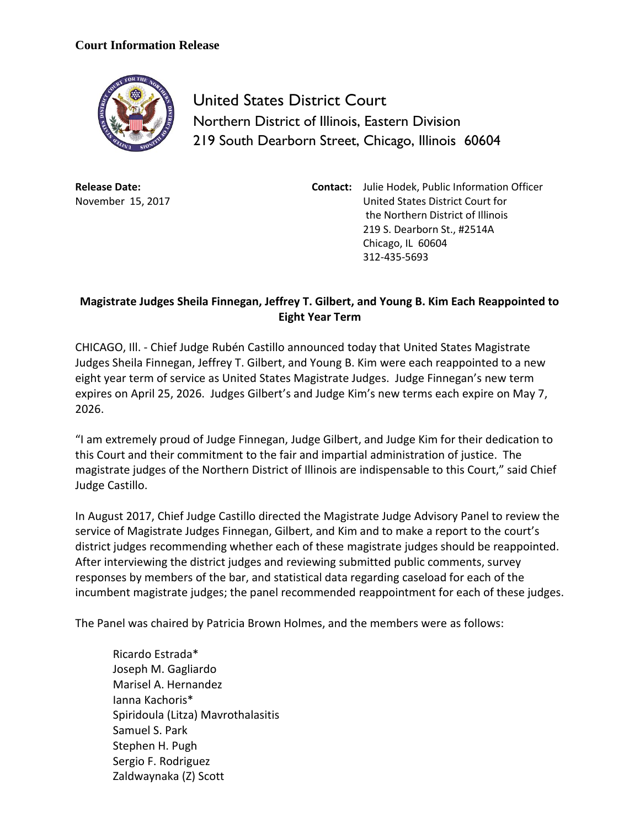## **Court Information Release**



United States District Court Northern District of Illinois, Eastern Division 219 South Dearborn Street, Chicago, Illinois 60604

**Release Date:** November 15, 2017 **Contact:** Julie Hodek, Public Information Officer United States District Court for the Northern District of Illinois 219 S. Dearborn St., #2514A Chicago, IL 60604 312-435-5693

## **Magistrate Judges Sheila Finnegan, Jeffrey T. Gilbert, and Young B. Kim Each Reappointed to Eight Year Term**

CHICAGO, Ill. - Chief Judge Rubén Castillo announced today that United States Magistrate Judges Sheila Finnegan, Jeffrey T. Gilbert, and Young B. Kim were each reappointed to a new eight year term of service as United States Magistrate Judges. Judge Finnegan's new term expires on April 25, 2026. Judges Gilbert's and Judge Kim's new terms each expire on May 7, 2026.

"I am extremely proud of Judge Finnegan, Judge Gilbert, and Judge Kim for their dedication to this Court and their commitment to the fair and impartial administration of justice. The magistrate judges of the Northern District of Illinois are indispensable to this Court," said Chief Judge Castillo.

In August 2017, Chief Judge Castillo directed the Magistrate Judge Advisory Panel to review the service of Magistrate Judges Finnegan, Gilbert, and Kim and to make a report to the court's district judges recommending whether each of these magistrate judges should be reappointed. After interviewing the district judges and reviewing submitted public comments, survey responses by members of the bar, and statistical data regarding caseload for each of the incumbent magistrate judges; the panel recommended reappointment for each of these judges.

The Panel was chaired by Patricia Brown Holmes, and the members were as follows:

Ricardo Estrada\* Joseph M. Gagliardo Marisel A. Hernandez Ianna Kachoris\* Spiridoula (Litza) Mavrothalasitis Samuel S. Park Stephen H. Pugh Sergio F. Rodriguez Zaldwaynaka (Z) Scott